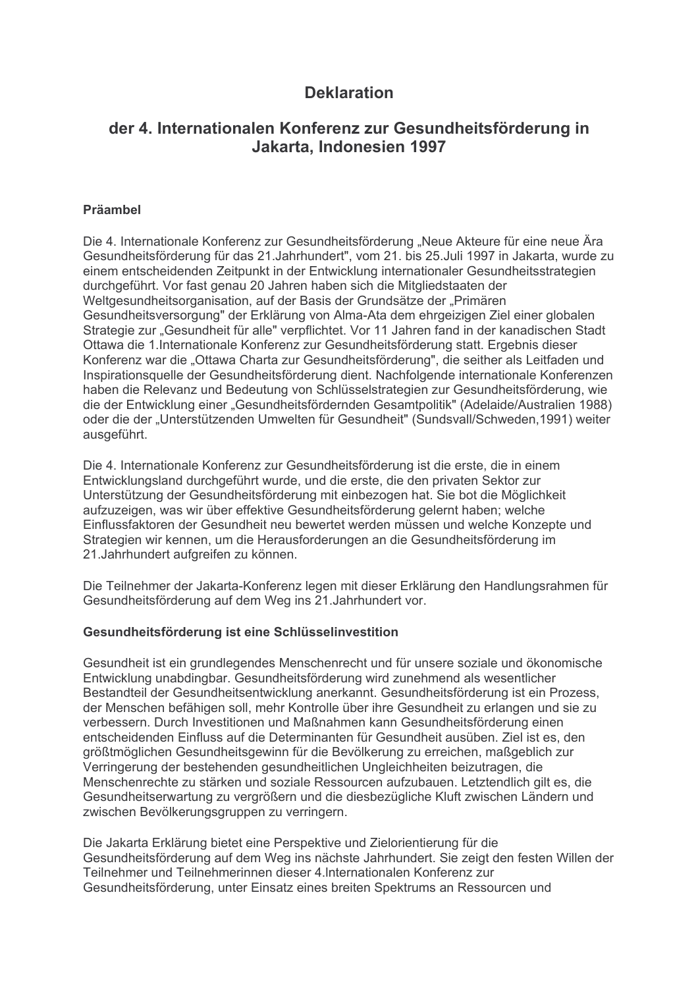# **Deklaration**

# der 4. Internationalen Konferenz zur Gesundheitsförderung in Jakarta, Indonesien 1997

### Präambel

Die 4. Internationale Konferenz zur Gesundheitsförderung "Neue Akteure für eine neue Ära Gesundheitsförderung für das 21. Jahrhundert", vom 21. bis 25. Juli 1997 in Jakarta, wurde zu einem entscheidenden Zeitpunkt in der Entwicklung internationaler Gesundheitsstrategien durchgeführt. Vor fast genau 20 Jahren haben sich die Mitgliedstaaten der Weltgesundheitsorganisation, auf der Basis der Grundsätze der "Primären Gesundheitsversorgung" der Erklärung von Alma-Ata dem ehrgeizigen Ziel einer globalen Strategie zur "Gesundheit für alle" verpflichtet. Vor 11 Jahren fand in der kanadischen Stadt Ottawa die 1. Internationale Konferenz zur Gesundheitsförderung statt. Ergebnis dieser Konferenz war die "Ottawa Charta zur Gesundheitsförderung", die seither als Leitfaden und Inspirationsquelle der Gesundheitsförderung dient. Nachfolgende internationale Konferenzen haben die Relevanz und Bedeutung von Schlüsselstrategien zur Gesundheitsförderung, wie die der Entwicklung einer "Gesundheitsfördernden Gesamtpolitik" (Adelaide/Australien 1988) oder die der "Unterstützenden Umwelten für Gesundheit" (Sundsvall/Schweden, 1991) weiter ausgeführt.

Die 4. Internationale Konferenz zur Gesundheitsförderung ist die erste, die in einem Entwicklungsland durchgeführt wurde, und die erste, die den privaten Sektor zur Unterstützung der Gesundheitsförderung mit einbezogen hat. Sie bot die Möglichkeit aufzuzeigen, was wir über effektive Gesundheitsförderung gelernt haben: welche Einflussfaktoren der Gesundheit neu bewertet werden müssen und welche Konzepte und Strategien wir kennen, um die Herausforderungen an die Gesundheitsförderung im 21. Jahrhundert aufgreifen zu können.

Die Teilnehmer der Jakarta-Konferenz legen mit dieser Erklärung den Handlungsrahmen für Gesundheitsförderung auf dem Weg ins 21. Jahrhundert vor.

#### Gesundheitsförderung ist eine Schlüsselinvestition

Gesundheit ist ein grundlegendes Menschenrecht und für unsere soziale und ökonomische Entwicklung unabdingbar, Gesundheitsförderung wird zunehmend als wesentlicher Bestandteil der Gesundheitsentwicklung anerkannt. Gesundheitsförderung ist ein Prozess, der Menschen befähigen soll, mehr Kontrolle über ihre Gesundheit zu erlangen und sie zu verbessern. Durch Investitionen und Maßnahmen kann Gesundheitsförderung einen entscheidenden Einfluss auf die Determinanten für Gesundheit ausüben. Ziel ist es. den größtmöglichen Gesundheitsgewinn für die Bevölkerung zu erreichen, maßgeblich zur Verringerung der bestehenden gesundheitlichen Ungleichheiten beizutragen, die Menschenrechte zu stärken und soziale Ressourcen aufzubauen. Letztendlich gilt es, die Gesundheitserwartung zu vergrößern und die diesbezügliche Kluft zwischen Ländern und zwischen Bevölkerungsgruppen zu verringern.

Die Jakarta Erklärung bietet eine Perspektive und Zielorientierung für die Gesundheitsförderung auf dem Weg ins nächste Jahrhundert. Sie zeigt den festen Willen der Teilnehmer und Teilnehmerinnen dieser 4.Internationalen Konferenz zur Gesundheitsförderung, unter Einsatz eines breiten Spektrums an Ressourcen und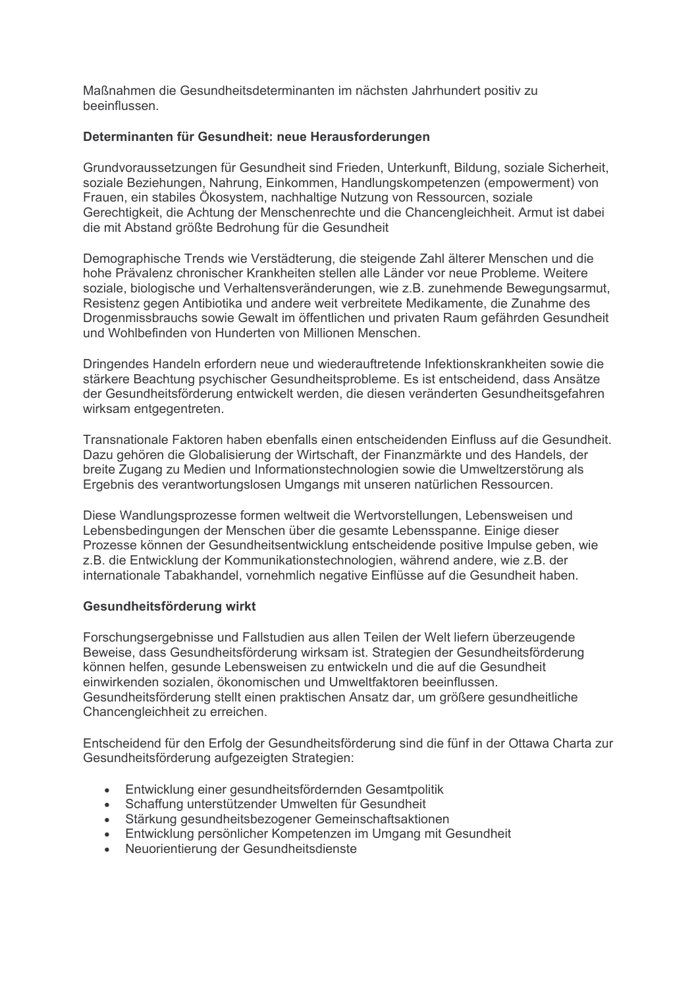Maßnahmen die Gesundheitsdeterminanten im nächsten Jahrhundert positiv zu beeinflussen

#### Determinanten für Gesundheit: neue Herausforderungen

Grundvoraussetzungen für Gesundheit sind Frieden, Unterkunft, Bildung, soziale Sicherheit, soziale Beziehungen, Nahrung, Einkommen, Handlungskompetenzen (empowerment) von Frauen, ein stabiles Ökosystem, nachhaltige Nutzung von Ressourcen, soziale Gerechtigkeit, die Achtung der Menschenrechte und die Chancengleichheit. Armut ist dabei die mit Abstand größte Bedrohung für die Gesundheit

Demographische Trends wie Verstädterung, die steigende Zahl älterer Menschen und die hohe Prävalenz chronischer Krankheiten stellen alle Länder vor neue Probleme. Weitere soziale, biologische und Verhaltensveränderungen, wie z.B. zunehmende Bewegungsarmut, Resistenz gegen Antibiotika und andere weit verbreitete Medikamente, die Zunahme des Drogenmissbrauchs sowie Gewalt im öffentlichen und privaten Raum gefährden Gesundheit und Wohlbefinden von Hunderten von Millionen Menschen.

Dringendes Handeln erfordern neue und wiederauftretende Infektionskrankheiten sowie die stärkere Beachtung psychischer Gesundheitsprobleme. Es ist entscheidend, dass Ansätze der Gesundheitsförderung entwickelt werden, die diesen veränderten Gesundheitsgefahren wirksam entgegentreten.

Transnationale Faktoren haben ebenfalls einen entscheidenden Einfluss auf die Gesundheit. Dazu gehören die Globalisierung der Wirtschaft, der Finanzmärkte und des Handels, der breite Zugang zu Medien und Informationstechnologien sowie die Umweltzerstörung als Ergebnis des verantwortungslosen Umgangs mit unseren natürlichen Ressourcen.

Diese Wandlungsprozesse formen weltweit die Wertvorstellungen. Lebensweisen und Lebensbedingungen der Menschen über die gesamte Lebensspanne. Einige dieser Prozesse können der Gesundheitsentwicklung entscheidende positive Impulse geben, wie z.B. die Entwicklung der Kommunikationstechnologien, während andere, wie z.B. der internationale Tabakhandel, vornehmlich negative Einflüsse auf die Gesundheit haben.

#### Gesundheitsförderung wirkt

Forschungsergebnisse und Fallstudien aus allen Teilen der Welt liefern überzeugende Beweise, dass Gesundheitsförderung wirksam ist. Strategien der Gesundheitsförderung können helfen, gesunde Lebensweisen zu entwickeln und die auf die Gesundheit einwirkenden sozialen, ökonomischen und Umweltfaktoren beeinflussen. Gesundheitsförderung stellt einen praktischen Ansatz dar, um größere gesundheitliche Chancengleichheit zu erreichen.

Entscheidend für den Erfolg der Gesundheitsförderung sind die fünf in der Ottawa Charta zur Gesundheitsförderung aufgezeigten Strategien:

- Entwicklung einer gesundheitsfördernden Gesamtpolitik
- Schaffung unterstützender Umwelten für Gesundheit
- Stärkung gesundheitsbezogener Gemeinschaftsaktionen
- Entwicklung persönlicher Kompetenzen im Umgang mit Gesundheit
- Neuorientierung der Gesundheitsdienste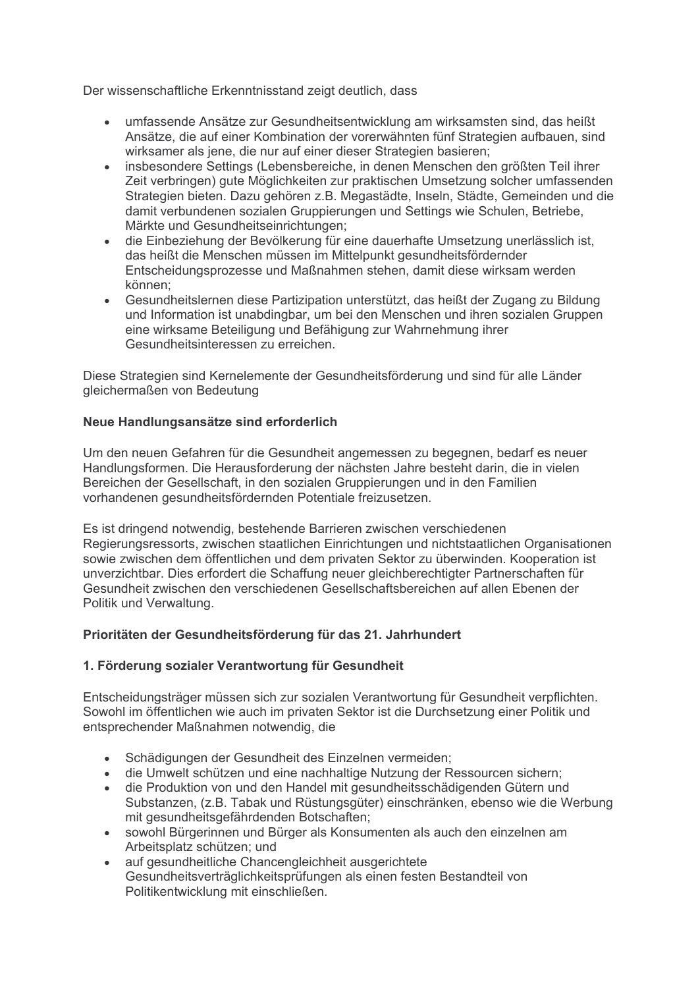Der wissenschaftliche Erkenntnisstand zeigt deutlich, dass

- umfassende Ansätze zur Gesundheitsentwicklung am wirksamsten sind, das heißt Ansätze, die auf einer Kombination der vorerwähnten fünf Strategien aufbauen, sind wirksamer als iene, die nur auf einer dieser Strategien basieren:
- insbesondere Settings (Lebensbereiche, in denen Menschen den größten Teil ihrer Zeit verbringen) gute Möglichkeiten zur praktischen Umsetzung solcher umfassenden Strategien bieten. Dazu gehören z.B. Megastädte, Inseln, Städte, Gemeinden und die damit verbundenen sozialen Gruppierungen und Settings wie Schulen, Betriebe, Märkte und Gesundheitseinrichtungen:
- $\bullet$ die Einbeziehung der Bevölkerung für eine dauerhafte Umsetzung unerlässlich ist. das heißt die Menschen müssen im Mittelpunkt gesundheitsfördernder Entscheidungsprozesse und Maßnahmen stehen, damit diese wirksam werden können:
- Gesundheitslernen diese Partizipation unterstützt, das heißt der Zugang zu Bildung und Information ist unabdingbar, um bei den Menschen und ihren sozialen Gruppen eine wirksame Beteiligung und Befähigung zur Wahrnehmung ihrer Gesundheitsinteressen zu erreichen.

Diese Strategien sind Kernelemente der Gesundheitsförderung und sind für alle Länder gleichermaßen von Bedeutung

## Neue Handlungsansätze sind erforderlich

Um den neuen Gefahren für die Gesundheit angemessen zu begegnen, bedarf es neuer Handlungsformen. Die Herausforderung der nächsten Jahre besteht darin, die in vielen Bereichen der Gesellschaft, in den sozialen Gruppierungen und in den Familien vorhandenen gesundheitsfördernden Potentiale freizusetzen.

Es ist dringend notwendig, bestehende Barrieren zwischen verschiedenen Regierungsressorts, zwischen staatlichen Einrichtungen und nichtstaatlichen Organisationen sowie zwischen dem öffentlichen und dem privaten Sektor zu überwinden. Kooperation ist unverzichtbar. Dies erfordert die Schaffung neuer gleichberechtigter Partnerschaften für Gesundheit zwischen den verschiedenen Gesellschaftsbereichen auf allen Ebenen der Politik und Verwaltung.

#### Prioritäten der Gesundheitsförderung für das 21. Jahrhundert

#### 1. Förderung sozialer Verantwortung für Gesundheit

Entscheidungsträger müssen sich zur sozialen Verantwortung für Gesundheit verpflichten. Sowohl im öffentlichen wie auch im privaten Sektor ist die Durchsetzung einer Politik und entsprechender Maßnahmen notwendig, die

- · Schädigungen der Gesundheit des Einzelnen vermeiden:
- die Umwelt schützen und eine nachhaltige Nutzung der Ressourcen sichern;
- · die Produktion von und den Handel mit gesundheitsschädigenden Gütern und Substanzen, (z.B. Tabak und Rüstungsgüter) einschränken, ebenso wie die Werbung mit gesundheitsgefährdenden Botschaften;
- sowohl Bürgerinnen und Bürger als Konsumenten als auch den einzelnen am Arbeitsplatz schützen; und
- auf gesundheitliche Chancengleichheit ausgerichtete Gesundheitsverträglichkeitsprüfungen als einen festen Bestandteil von Politikentwicklung mit einschließen.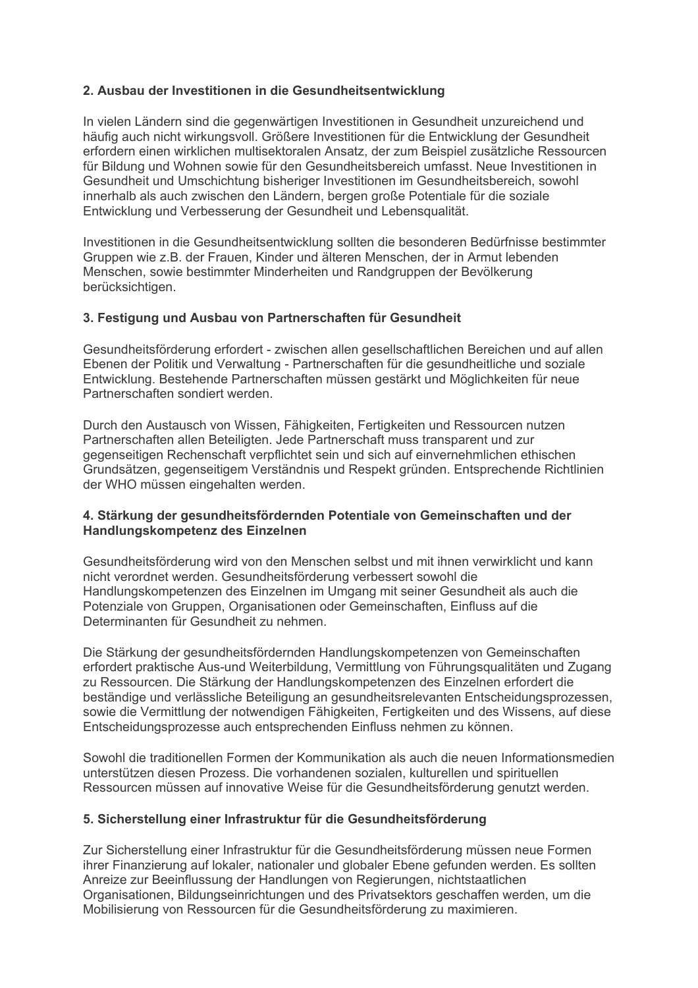### 2. Ausbau der Investitionen in die Gesundheitsentwicklung

In vielen Ländern sind die gegenwärtigen Investitionen in Gesundheit unzureichend und häufig auch nicht wirkungsvoll. Größere Investitionen für die Entwicklung der Gesundheit erfordern einen wirklichen multisektoralen Ansatz, der zum Beispiel zusätzliche Ressourcen für Bildung und Wohnen sowie für den Gesundheitsbereich umfasst. Neue Investitionen in Gesundheit und Umschichtung bisheriger Investitionen im Gesundheitsbereich, sowohl innerhalb als auch zwischen den Ländern, bergen große Potentiale für die soziale Entwicklung und Verbesserung der Gesundheit und Lebensgualität.

Investitionen in die Gesundheitsentwicklung sollten die besonderen Bedürfnisse bestimmter Gruppen wie z.B. der Frauen, Kinder und älteren Menschen. der in Armut lebenden Menschen, sowie bestimmter Minderheiten und Randgruppen der Bevölkerung berücksichtigen.

#### 3. Festigung und Ausbau von Partnerschaften für Gesundheit

Gesundheitsförderung erfordert - zwischen allen gesellschaftlichen Bereichen und auf allen Ebenen der Politik und Verwaltung - Partnerschaften für die gesundheitliche und soziale Entwicklung. Bestehende Partnerschaften müssen gestärkt und Möglichkeiten für neue Partnerschaften sondiert werden

Durch den Austausch von Wissen, Fähigkeiten, Fertigkeiten und Ressourcen nutzen Partnerschaften allen Beteiligten. Jede Partnerschaft muss transparent und zur gegenseitigen Rechenschaft verpflichtet sein und sich auf einvernehmlichen ethischen Grundsätzen, gegenseitigem Verständnis und Respekt gründen. Entsprechende Richtlinien der WHO müssen eingehalten werden.

#### 4. Stärkung der gesundheitsfördernden Potentiale von Gemeinschaften und der Handlungskompetenz des Einzelnen

Gesundheitsförderung wird von den Menschen selbst und mit ihnen verwirklicht und kann nicht verordnet werden. Gesundheitsförderung verbessert sowohl die Handlungskompetenzen des Einzelnen im Umgang mit seiner Gesundheit als auch die Potenziale von Gruppen. Organisationen oder Gemeinschaften. Einfluss auf die Determinanten für Gesundheit zu nehmen.

Die Stärkung der gesundheitsfördernden Handlungskompetenzen von Gemeinschaften erfordert praktische Aus-und Weiterbildung, Vermittlung von Führungsqualitäten und Zugang zu Ressourcen. Die Stärkung der Handlungskompetenzen des Einzelnen erfordert die beständige und verlässliche Beteiligung an gesundheitsrelevanten Entscheidungsprozessen, sowie die Vermittlung der notwendigen Fähigkeiten, Fertigkeiten und des Wissens, auf diese Entscheidungsprozesse auch entsprechenden Einfluss nehmen zu können.

Sowohl die traditionellen Formen der Kommunikation als auch die neuen Informationsmedien unterstützen diesen Prozess. Die vorhandenen sozialen, kulturellen und spirituellen Ressourcen müssen auf innovative Weise für die Gesundheitsförderung genutzt werden.

#### 5. Sicherstellung einer Infrastruktur für die Gesundheitsförderung

Zur Sicherstellung einer Infrastruktur für die Gesundheitsförderung müssen neue Formen ihrer Finanzierung auf lokaler, nationaler und globaler Ebene gefunden werden. Es sollten Anreize zur Beeinflussung der Handlungen von Regierungen, nichtstaatlichen Organisationen, Bildungseinrichtungen und des Privatsektors geschaffen werden, um die Mobilisierung von Ressourcen für die Gesundheitsförderung zu maximieren.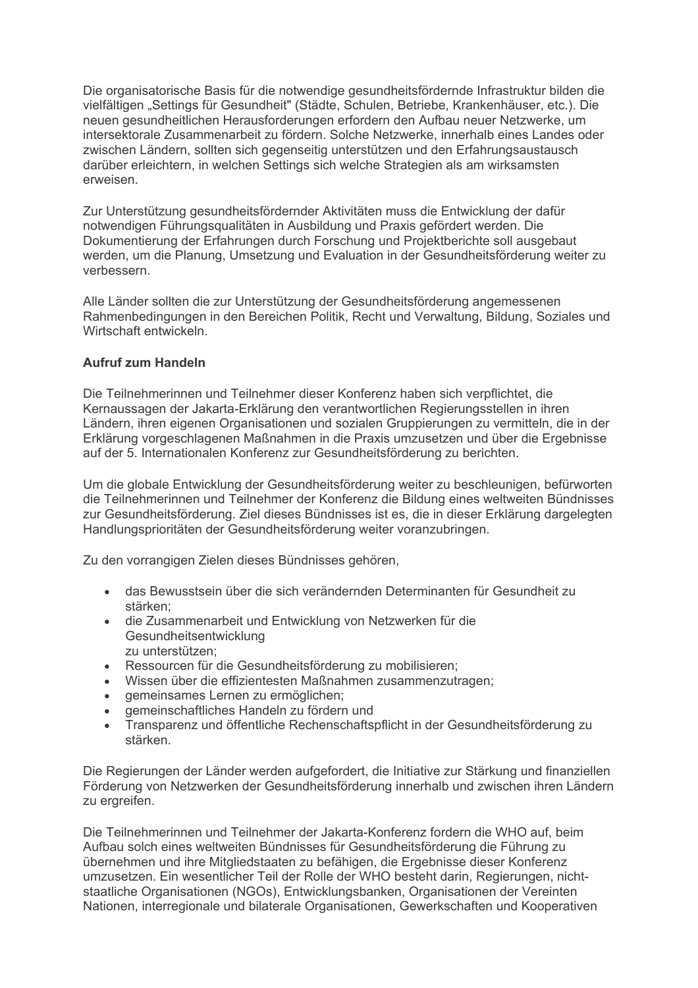Die organisatorische Basis für die notwendige gesundheitsfördernde Infrastruktur bilden die vielfältigen "Settings für Gesundheit" (Städte, Schulen, Betriebe, Krankenhäuser, etc.). Die neuen gesundheitlichen Herausforderungen erfordern den Aufbau neuer Netzwerke, um intersektorale Zusammenarbeit zu fördern. Solche Netzwerke, innerhalb eines Landes oder zwischen Ländern, sollten sich gegenseitig unterstützen und den Erfahrungsaustausch darüber erleichtern, in welchen Settings sich welche Strategien als am wirksamsten erweisen

Zur Unterstützung gesundheitsfördernder Aktivitäten muss die Entwicklung der dafür notwendigen Führungsqualitäten in Ausbildung und Praxis gefördert werden. Die Dokumentierung der Erfahrungen durch Forschung und Projektberichte soll ausgebaut werden, um die Planung. Umsetzung und Evaluation in der Gesundheitsförderung weiter zu verbessern

Alle Länder sollten die zur Unterstützung der Gesundheitsförderung angemessenen Rahmenbedingungen in den Bereichen Politik, Recht und Verwaltung, Bildung, Soziales und Wirtschaft entwickeln.

#### **Aufruf zum Handeln**

Die Teilnehmerinnen und Teilnehmer dieser Konferenz haben sich verpflichtet, die Kernaussagen der Jakarta-Erklärung den verantwortlichen Regierungsstellen in ihren Ländern, ihren eigenen Organisationen und sozialen Gruppierungen zu vermitteln, die in der Erklärung vorgeschlagenen Maßnahmen in die Praxis umzusetzen und über die Ergebnisse auf der 5. Internationalen Konferenz zur Gesundheitsförderung zu berichten.

Um die globale Entwicklung der Gesundheitsförderung weiter zu beschleunigen, befürworten die Teilnehmerinnen und Teilnehmer der Konferenz die Bildung eines weltweiten Bündnisses zur Gesundheitsförderung. Ziel dieses Bündnisses ist es, die in dieser Erklärung dargelegten Handlungsprioritäten der Gesundheitsförderung weiter voranzubringen.

Zu den vorrangigen Zielen dieses Bündnisses gehören,

- · das Bewusstsein über die sich verändernden Determinanten für Gesundheit zu stärken:
- · die Zusammenarbeit und Entwicklung von Netzwerken für die Gesundheitsentwicklung zu unterstützen:
- · Ressourcen für die Gesundheitsförderung zu mobilisieren;
- · Wissen über die effizientesten Maßnahmen zusammenzutragen;
- · gemeinsames Lernen zu ermöglichen;
- gemeinschaftliches Handeln zu fördern und
- Transparenz und öffentliche Rechenschaftspflicht in der Gesundheitsförderung zu  $\blacksquare$ stärken

Die Regierungen der Länder werden aufgefordert, die Initiative zur Stärkung und finanziellen Förderung von Netzwerken der Gesundheitsförderung innerhalb und zwischen ihren Ländern zu ergreifen.

Die Teilnehmerinnen und Teilnehmer der Jakarta-Konferenz fordern die WHO auf, beim Aufbau solch eines weltweiten Bündnisses für Gesundheitsförderung die Führung zu übernehmen und ihre Mitgliedstaaten zu befähigen, die Ergebnisse dieser Konferenz umzusetzen. Ein wesentlicher Teil der Rolle der WHO besteht darin. Regierungen, nichtstaatliche Organisationen (NGOs), Entwicklungsbanken, Organisationen der Vereinten Nationen, interregionale und bilaterale Organisationen, Gewerkschaften und Kooperativen